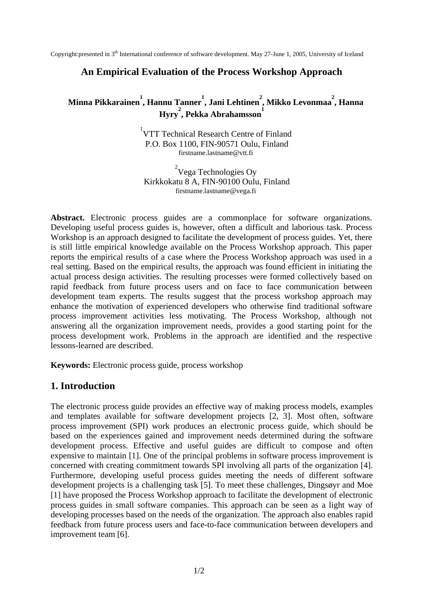Copyright:presented in 3th International conference of software development. May 27-June 1, 2005, University of Iceland

#### **An Empirical Evaluation of the Process Workshop Approach**

# **Minna Pikkarainen 1 , Hannu Tanner 1 , Jani Lehtinen 2 , Mikko Levonmaa 2 , Hanna Hyry 2 , Pekka Abrahamsson 1**

1 VTT Technical Research Centre of Finland P.O. Box 1100, FIN-90571 Oulu, Finland firstname.lastname@vtt.fi

<sup>2</sup>Vega Technologies Oy Kirkkokatu 8 A, FIN-90100 Oulu, Finland firstname.lastname@vega.fi

Abstract. Electronic process guides are a commonplace for software organizations. Developing useful process guides is, however, often a difficult and laborious task. Process Workshop is an approach designed to facilitate the development of process guides. Yet, there is still little empirical knowledge available on the Process Workshop approach. This paper reports the empirical results of a case where the Process Workshop approach was used in a real setting. Based on the empirical results, the approach was found efficient in initiating the actual process design activities. The resulting processes were formed collectively based on rapid feedback from future process users and on face to face communication between development team experts. The results suggest that the process workshop approach may enhance the motivation of experienced developers who otherwise find traditional software process improvement activities less motivating. The Process Workshop, although not answering all the organization improvement needs, provides a good starting point for the process development work. Problems in the approach are identified and the respective lessons-learned are described.

**Keywords:** Electronic process guide, process workshop

#### **1. Introduction**

The electronic process guide provides an effective way of making process models, examples and templates available for software development projects [2, 3]. Most often, software process improvement (SPI) work produces an electronic process guide, which should be based on the experiences gained and improvement needs determined during the software development process. Effective and useful guides are difficult to compose and often expensive to maintain [1]. One of the principal problems in software process improvement is concerned with creating commitment towards SPI involving all parts of the organization [4]. Furthermore, developing useful process guides meeting the needs of different software development projects is a challenging task [5]. To meet these challenges, Dingsøyr and Moe [1] have proposed the Process Workshop approach to facilitate the development of electronic process guides in small software companies. This approach can be seen as a light way of developing processes based on the needs of the organization. The approach also enables rapid feedback from future process users and face-to-face communication between developers and improvement team [6].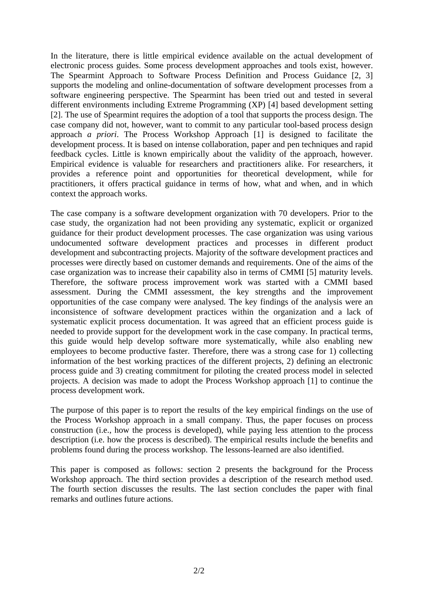In the literature, there is little empirical evidence available on the actual development of electronic process guides. Some process development approaches and tools exist, however. The Spearmint Approach to Software Process Definition and Process Guidance [2, 3] supports the modeling and online-documentation of software development processes from a software engineering perspective. The Spearmint has been tried out and tested in several different environments including Extreme Programming (XP) [4] based development setting [2]. The use of Spearmint requires the adoption of a tool that supports the process design. The case company did not, however, want to commit to any particular tool-based process design approach *a priori*. The Process Workshop Approach [1] is designed to facilitate the development process. It is based on intense collaboration, paper and pen techniques and rapid feedback cycles. Little is known empirically about the validity of the approach, however. Empirical evidence is valuable for researchers and practitioners alike. For researchers, it provides a reference point and opportunities for theoretical development, while for practitioners, it offers practical guidance in terms of how, what and when, and in which context the approach works.

The case company is a software development organization with 70 developers. Prior to the case study, the organization had not been providing any systematic, explicit or organized guidance for their product development processes. The case organization was using various undocumented software development practices and processes in different product development and subcontracting projects. Majority of the software development practices and processes were directly based on customer demands and requirements. One of the aims of the case organization was to increase their capability also in terms of CMMI [5] maturity levels. Therefore, the software process improvement work was started with a CMMI based assessment. During the CMMI assessment, the key strengths and the improvement opportunities of the case company were analysed. The key findings of the analysis were an inconsistence of software development practices within the organization and a lack of systematic explicit process documentation. It was agreed that an efficient process guide is needed to provide support for the development work in the case company. In practical terms, this guide would help develop software more systematically, while also enabling new employees to become productive faster. Therefore, there was a strong case for 1) collecting information of the best working practices of the different projects, 2) defining an electronic process guide and 3) creating commitment for piloting the created process model in selected projects. A decision was made to adopt the Process Workshop approach [1] to continue the process development work.

The purpose of this paper is to report the results of the key empirical findings on the use of the Process Workshop approach in a small company. Thus, the paper focuses on process construction (i.e., how the process is developed), while paying less attention to the process description (i.e. how the process is described). The empirical results include the benefits and problems found during the process workshop. The lessons-learned are also identified.

This paper is composed as follows: section 2 presents the background for the Process Workshop approach. The third section provides a description of the research method used. The fourth section discusses the results. The last section concludes the paper with final remarks and outlines future actions.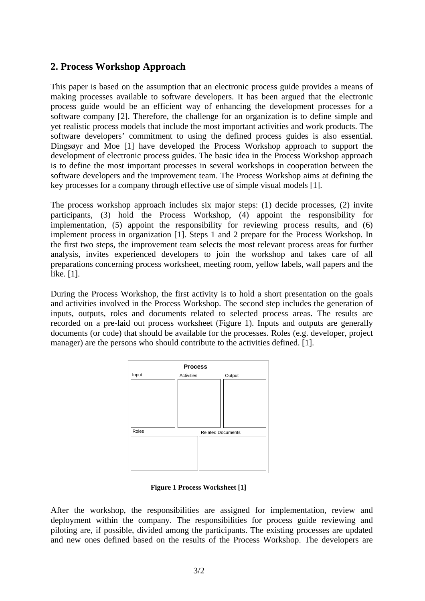### **2. Process Workshop Approach**

This paper is based on the assumption that an electronic process guide provides a means of making processes available to software developers. It has been argued that the electronic process guide would be an efficient way of enhancing the development processes for a software company [2]. Therefore, the challenge for an organization is to define simple and yet realistic process models that include the most important activities and work products. The software developers' commitment to using the defined process guides is also essential. Dingsøyr and Moe [1] have developed the Process Workshop approach to support the development of electronic process guides. The basic idea in the Process Workshop approach is to define the most important processes in several workshops in cooperation between the software developers and the improvement team. The Process Workshop aims at defining the key processes for a company through effective use of simple visual models [1].

The process workshop approach includes six major steps: (1) decide processes, (2) invite participants, (3) hold the Process Workshop, (4) appoint the responsibility for implementation, (5) appoint the responsibility for reviewing process results, and (6) implement process in organization [1]. Steps 1 and 2 prepare for the Process Workshop. In the first two steps, the improvement team selects the most relevant process areas for further analysis, invites experienced developers to join the workshop and takes care of all preparations concerning process worksheet, meeting room, yellow labels, wall papers and the like. [1].

During the Process Workshop, the first activity is to hold a short presentation on the goals and activities involved in the Process Workshop. The second step includes the generation of inputs, outputs, roles and documents related to selected process areas. The results are recorded on a pre-laid out process worksheet (Figure 1). Inputs and outputs are generally documents (or code) that should be available for the processes. Roles (e.g. developer, project manager) are the persons who should contribute to the activities defined. [1].



**Figure 1 Process Worksheet [1]** 

After the workshop, the responsibilities are assigned for implementation, review and deployment within the company. The responsibilities for process guide reviewing and piloting are, if possible, divided among the participants. The existing processes are updated and new ones defined based on the results of the Process Workshop. The developers are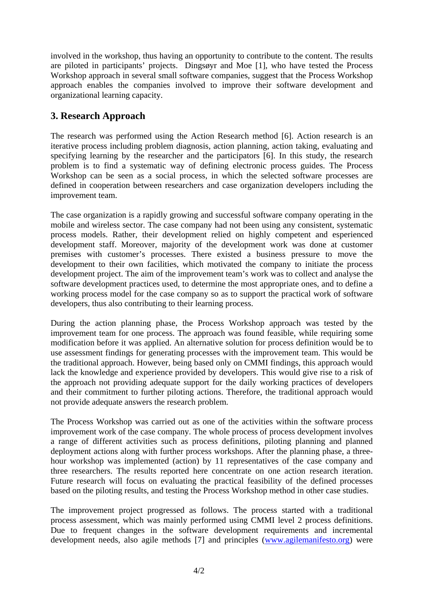involved in the workshop, thus having an opportunity to contribute to the content. The results are piloted in participants' projects. Dingsøyr and Moe [1], who have tested the Process Workshop approach in several small software companies, suggest that the Process Workshop approach enables the companies involved to improve their software development and organizational learning capacity.

# **3. Research Approach**

The research was performed using the Action Research method [6]. Action research is an iterative process including problem diagnosis, action planning, action taking, evaluating and specifying learning by the researcher and the participators [6]. In this study, the research problem is to find a systematic way of defining electronic process guides. The Process Workshop can be seen as a social process, in which the selected software processes are defined in cooperation between researchers and case organization developers including the improvement team.

The case organization is a rapidly growing and successful software company operating in the mobile and wireless sector. The case company had not been using any consistent, systematic process models. Rather, their development relied on highly competent and esperienced development staff. Moreover, majority of the development work was done at customer premises with customer's processes. There existed a business pressure to move the development to their own facilities, which motivated the company to initiate the process development project. The aim of the improvement team's work was to collect and analyse the software development practices used, to determine the most appropriate ones, and to define a working process model for the case company so as to support the practical work of software developers, thus also contributing to their learning process.

During the action planning phase, the Process Workshop approach was tested by the improvement team for one process. The approach was found feasible, while requiring some modification before it was applied. An alternative solution for process definition would be to use assessment findings for generating processes with the improvement team. This would be the traditional approach. However, being based only on CMMI findings, this approach would lack the knowledge and experience provided by developers. This would give rise to a risk of the approach not providing adequate support for the daily working practices of developers and their commitment to further piloting actions. Therefore, the traditional approach would not provide adequate answers the research problem.

The Process Workshop was carried out as one of the activities within the software process improvement work of the case company. The whole process of process development involves a range of different activities such as process definitions, piloting planning and planned deployment actions along with further process workshops. After the planning phase, a threehour workshop was implemented (action) by 11 representatives of the case company and three researchers. The results reported here concentrate on one action research iteration. Future research will focus on evaluating the practical feasibility of the defined processes based on the piloting results, and testing the Process Workshop method in other case studies.

The improvement project progressed as follows. The process started with a traditional process assessment, which was mainly performed using CMMI level 2 process definitions. Due to frequent changes in the software development requirements and incremental development needs, also agile methods [7] and principles (www.agilemanifesto.org) were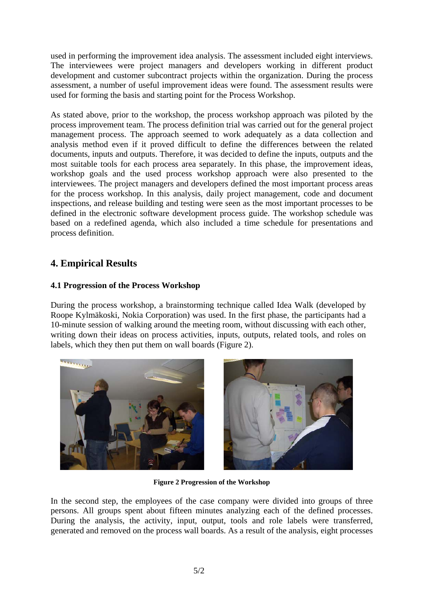used in performing the improvement idea analysis. The assessment included eight interviews. The interviewees were project managers and developers working in different product development and customer subcontract projects within the organization. During the process assessment, a number of useful improvement ideas were found. The assessment results were used for forming the basis and starting point for the Process Workshop.

As stated above, prior to the workshop, the process workshop approach was piloted by the process improvement team. The process definition trial was carried out for the general project management process. The approach seemed to work adequately as a data collection and analysis method even if it proved difficult to define the differences between the related documents, inputs and outputs. Therefore, it was decided to define the inputs, outputs and the most suitable tools for each process area separately. In this phase, the improvement ideas, workshop goals and the used process workshop approach were also presented to the interviewees. The project managers and developers defined the most important process areas for the process workshop. In this analysis, daily project management, code and document inspections, and release building and testing were seen as the most important processes to be defined in the electronic software development process guide. The workshop schedule was based on a redefined agenda, which also included a time schedule for presentations and process definition.

# **4. Empirical Results**

#### **4.1 Progression of the Process Workshop**

During the process workshop, a brainstorming technique called Idea Walk (developed by Roope Kylmäkoski, Nokia Corporation) was used. In the first phase, the participants had a 10-minute session of walking around the meeting room, without discussing with each other, writing down their ideas on process activities, inputs, outputs, related tools, and roles on labels, which they then put them on wall boards (Figure 2).





**Figure 2 Progression of the Workshop**

In the second step, the employees of the case company were divided into groups of three persons. All groups spent about fifteen minutes analyzing each of the defined processes. During the analysis, the activity, input, output, tools and role labels were transferred, generated and removed on the process wall boards. As a result of the analysis, eight processes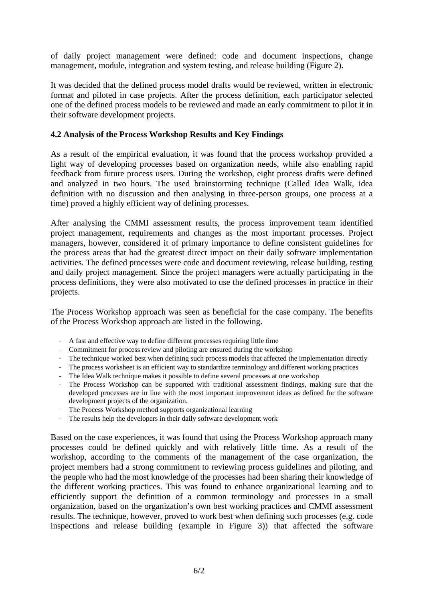of daily project management were defined: code and document inspections, change management, module, integration and system testing, and release building (Figure 2).

It was decided that the defined process model drafts would be reviewed, written in electronic format and piloted in case projects. After the process definition, each participator selected one of the defined process models to be reviewed and made an early commitment to pilot it in their software development projects.

#### **4.2 Analysis of the Process Workshop Results and Key Findings**

As a result of the empirical evaluation, it was found that the process workshop provided a light way of developing processes based on organization needs, while also enabling rapid feedback from future process users. During the workshop, eight process drafts were defined and analyzed in two hours. The used brainstorming technique (Called Idea Walk, idea definition with no discussion and then analysing in three-person groups, one process at a time) proved a highly efficient way of defining processes.

After analysing the CMMI assessment results, the process improvement team identified project management, requirements and changes as the most important processes. Project managers, however, considered it of primary importance to define consistent guidelines for the process areas that had the greatest direct impact on their daily software implementation activities. The defined processes were code and document reviewing, release building, testing and daily project management. Since the project managers were actually participating in the process definitions, they were also motivated to use the defined processes in practice in their projects.

The Process Workshop approach was seen as beneficial for the case company. The benefits of the Process Workshop approach are listed in the following.

- A fast and effective way to define different processes requiring little time
- Commitment for process review and piloting are ensured during the workshop
- The technique worked best when defining such process models that affected the implementation directly
- The process worksheet is an efficient way to standardize terminology and different working practices
- The Idea Walk technique makes it possible to define several processes at one workshop
- The Process Workshop can be supported with traditional assessment findings, making sure that the developed processes are in line with the most important improvement ideas as defined for the software development projects of the organization.
- The Process Workshop method supports organizational learning
- The results help the developers in their daily software development work

Based on the case experiences, it was found that using the Process Workshop approach many processes could be defined quickly and with relatively little time. As a result of the workshop, according to the comments of the management of the case organization, the project members had a strong commitment to reviewing process guidelines and piloting, and the people who had the most knowledge of the processes had been sharing their knowledge of the different working practices. This was found to enhance organizational learning and to efficiently support the definition of a common terminology and processes in a small organization, based on the organization's own best working practices and CMMI assessment results. The technique, however, proved to work best when defining such processes (e.g. code inspections and release building (example in Figure 3)) that affected the software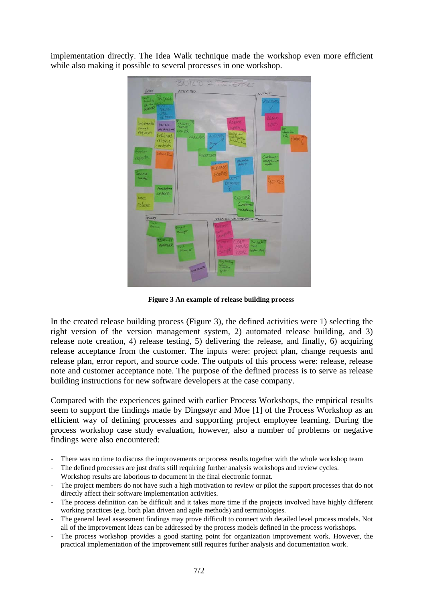implementation directly. The Idea Walk technique made the workshop even more efficient while also making it possible to several processes in one workshop.



**Figure 3 An example of release building process** 

In the created release building process (Figure 3), the defined activities were 1) selecting the right version of the version management system, 2) automated release building, and 3) release note creation, 4) release testing, 5) delivering the release, and finally, 6) acquiring release acceptance from the customer. The inputs were: project plan, change requests and release plan, error report, and source code. The outputs of this process were: release, release note and customer acceptance note. The purpose of the defined process is to serve as release building instructions for new software developers at the case company.

Compared with the experiences gained with earlier Process Workshops, the empirical results seem to support the findings made by Dingsøyr and Moe [1] of the Process Workshop as an efficient way of defining processes and supporting project employee learning. During the process workshop case study evaluation, however, also a number of problems or negative findings were also encountered:

- There was no time to discuss the improvements or process results together with the whole workshop team
- The defined processes are just drafts still requiring further analysis workshops and review cycles.
- Workshop results are laborious to document in the final electronic format.
- The project members do not have such a high motivation to review or pilot the support processes that do not directly affect their software implementation activities.
- The process definition can be difficult and it takes more time if the projects involved have highly different working practices (e.g. both plan driven and agile methods) and terminologies.
- The general level assessment findings may prove difficult to connect with detailed level process models. Not all of the improvement ideas can be addressed by the process models defined in the process workshops.
- The process workshop provides a good starting point for organization improvement work. However, the practical implementation of the improvement still requires further analysis and documentation work.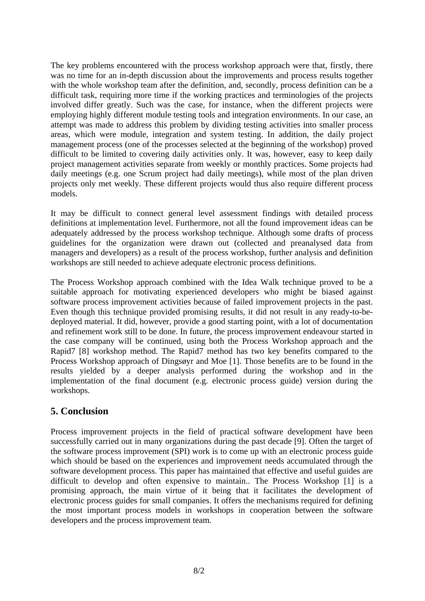The key problems encountered with the process workshop approach were that, firstly, there was no time for an in-depth discussion about the improvements and process results together with the whole workshop team after the definition, and, secondly, process definition can be a difficult task, requiring more time if the working practices and terminologies of the projects involved differ greatly. Such was the case, for instance, when the different projects were employing highly different module testing tools and integration environments. In our case, an attempt was made to address this problem by dividing testing activities into smaller process areas, which were module, integration and system testing. In addition, the daily project management process (one of the processes selected at the beginning of the workshop) proved difficult to be limited to covering daily activities only. It was, however, easy to keep daily project management activities separate from weekly or monthly practices. Some projects had daily meetings (e.g. one Scrum project had daily meetings), while most of the plan driven projects only met weekly. These different projects would thus also require different process models.

It may be difficult to connect general level assessment findings with detailed process definitions at implementation level. Furthermore, not all the found improvement ideas can be adequately addressed by the process workshop technique. Although some drafts of process guidelines for the organization were drawn out (collected and preanalysed data from managers and developers) as a result of the process workshop, further analysis and definition workshops are still needed to achieve adequate electronic process definitions.

The Process Workshop approach combined with the Idea Walk technique proved to be a suitable approach for motivating experienced developers who might be biased against software process improvement activities because of failed improvement projects in the past. Even though this technique provided promising results, it did not result in any ready-to-bedeployed material. It did, however, provide a good starting point, with a lot of documentation and refinement work still to be done. In future, the process improvement endeavour started in the case company will be continued, using both the Process Workshop approach and the Rapid7 [8] workshop method. The Rapid7 method has two key benefits compared to the Process Workshop approach of Dingsøyr and Moe [1]. Those benefits are to be found in the results yielded by a deeper analysis performed during the workshop and in the implementation of the final document (e.g. electronic process guide) version during the workshops.

# **5. Conclusion**

Process improvement projects in the field of practical software development have been successfully carried out in many organizations during the past decade [9]. Often the target of the software process improvement (SPI) work is to come up with an electronic process guide which should be based on the experiences and improvement needs accumulated through the software development process. This paper has maintained that effective and useful guides are difficult to develop and often expensive to maintain.. The Process Workshop [1] is a promising approach, the main virtue of it being that it facilitates the development of electronic process guides for small companies. It offers the mechanisms required for defining the most important process models in workshops in cooperation between the software developers and the process improvement team.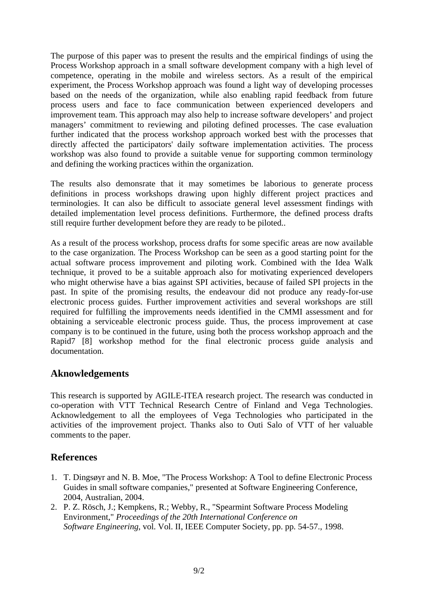The purpose of this paper was to present the results and the empirical findings of using the Process Workshop approach in a small software development company with a high level of competence, operating in the mobile and wireless sectors. As a result of the empirical experiment, the Process Workshop approach was found a light way of developing processes based on the needs of the organization, while also enabling rapid feedback from future process users and face to face communication between experienced developers and improvement team. This approach may also help to increase software developers' and project managers' commitment to reviewing and piloting defined processes. The case evaluation further indicated that the process workshop approach worked best with the processes that directly affected the participators' daily software implementation activities. The process workshop was also found to provide a suitable venue for supporting common terminology and defining the working practices within the organization.

The results also demonsrate that it may sometimes be laborious to generate process definitions in process workshops drawing upon highly different project practices and terminologies. It can also be difficult to associate general level assessment findings with detailed implementation level process definitions. Furthermore, the defined process drafts still require further development before they are ready to be piloted..

As a result of the process workshop, process drafts for some specific areas are now available to the case organization. The Process Workshop can be seen as a good starting point for the actual software process improvement and piloting work. Combined with the Idea Walk technique, it proved to be a suitable approach also for motivating experienced developers who might otherwise have a bias against SPI activities, because of failed SPI projects in the past. In spite of the promising results, the endeavour did not produce any ready-for-use electronic process guides. Further improvement activities and several workshops are still required for fulfilling the improvements needs identified in the CMMI assessment and for obtaining a serviceable electronic process guide. Thus, the process improvement at case company is to be continued in the future, using both the process workshop approach and the Rapid7 [8] workshop method for the final electronic process guide analysis and documentation.

# **Aknowledgements**

This research is supported by AGILE-ITEA research project. The research was conducted in co-operation with VTT Technical Research Centre of Finland and Vega Technologies. Acknowledgement to all the employees of Vega Technologies who participated in the activities of the improvement project. Thanks also to Outi Salo of VTT of her valuable comments to the paper.

# **References**

- 1. T. Dingsøyr and N. B. Moe, "The Process Workshop: A Tool to define Electronic Process Guides in small software companies," presented at Software Engineering Conference, 2004, Australian, 2004.
- 2. P. Z. Rösch, J.; Kempkens, R.; Webby, R., "Spearmint Software Process Modeling Environment," *Proceedings of the 20th International Conference on Software Engineering*, vol. Vol. II, IEEE Computer Society, pp. pp. 54-57., 1998.